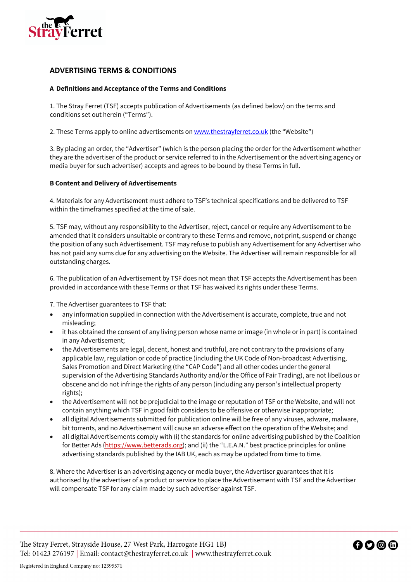

# **ADVERTISING TERMS & CONDITIONS**

# **A Definitions and Acceptance of the Terms and Conditions**

1. The Stray Ferret (TSF) accepts publication of Advertisements (as defined below) on the terms and conditions set out herein ("Terms").

2. These Terms apply to online advertisements on www.thestrayferret.co.uk (the "Website")

3. By placing an order, the "Advertiser" (which is the person placing the order for the Advertisement whether they are the advertiser of the product or service referred to in the Advertisement or the advertising agency or media buyer for such advertiser) accepts and agrees to be bound by these Terms in full.

### **B Content and Delivery of Advertisements**

4. Materials for any Advertisement must adhere to TSF's technical specifications and be delivered to TSF within the timeframes specified at the time of sale.

5. TSF may, without any responsibility to the Advertiser, reject, cancel or require any Advertisement to be amended that it considers unsuitable or contrary to these Terms and remove, not print, suspend or change the position of any such Advertisement. TSF may refuse to publish any Advertisement for any Advertiser who has not paid any sums due for any advertising on the Website. The Advertiser will remain responsible for all outstanding charges.

6. The publication of an Advertisement by TSF does not mean that TSF accepts the Advertisement has been provided in accordance with these Terms or that TSF has waived its rights under these Terms.

7. The Advertiser guarantees to TSF that:

- any information supplied in connection with the Advertisement is accurate, complete, true and not misleading;
- it has obtained the consent of any living person whose name or image (in whole or in part) is contained in any Advertisement;
- the Advertisements are legal, decent, honest and truthful, are not contrary to the provisions of any applicable law, regulation or code of practice (including the UK Code of Non-broadcast Advertising, Sales Promotion and Direct Marketing (the "CAP Code") and all other codes under the general supervision of the Advertising Standards Authority and/or the Office of Fair Trading), are not libellous or obscene and do not infringe the rights of any person (including any person's intellectual property rights);
- the Advertisement will not be prejudicial to the image or reputation of TSF or the Website, and will not contain anything which TSF in good faith considers to be offensive or otherwise inappropriate;
- all digital Advertisements submitted for publication online will be free of any viruses, adware, malware, bit torrents, and no Advertisement will cause an adverse effect on the operation of the Website; and
- all digital Advertisements comply with (i) the standards for online advertising published by the Coalition for Better Ads (https://www.betterads.org); and (ii) the "L.E.A.N." best practice principles for online advertising standards published by the IAB UK, each as may be updated from time to time.

8. Where the Advertiser is an advertising agency or media buyer, the Advertiser guarantees that it is authorised by the advertiser of a product or service to place the Advertisement with TSF and the Advertiser will compensate TSF for any claim made by such advertiser against TSF.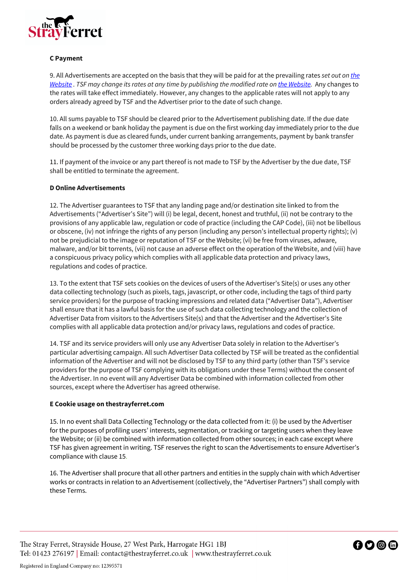

# **C Payment**

9. All Advertisements are accepted on the basis that they will be paid for at the prevailing rates *set out on the Website . TSF may change its rates at any time by publishing the modified rate on the Website.* Any changes to the rates will take effect immediately. However, any changes to the applicable rates will not apply to any orders already agreed by TSF and the Advertiser prior to the date of such change.

10. All sums payable to TSF should be cleared prior to the Advertisement publishing date. If the due date falls on a weekend or bank holiday the payment is due on the first working day immediately prior to the due date. As payment is due as cleared funds, under current banking arrangements, payment by bank transfer should be processed by the customer three working days prior to the due date.

11. If payment of the invoice or any part thereof is not made to TSF by the Advertiser by the due date, TSF shall be entitled to terminate the agreement.

### **D Online Advertisements**

12. The Advertiser guarantees to TSF that any landing page and/or destination site linked to from the Advertisements ("Advertiser's Site") will (i) be legal, decent, honest and truthful, (ii) not be contrary to the provisions of any applicable law, regulation or code of practice (including the CAP Code), (iii) not be libellous or obscene, (iv) not infringe the rights of any person (including any person's intellectual property rights); (v) not be prejudicial to the image or reputation of TSF or the Website; (vi) be free from viruses, adware, malware, and/or bit torrents, (vii) not cause an adverse effect on the operation of the Website, and (viii) have a conspicuous privacy policy which complies with all applicable data protection and privacy laws, regulations and codes of practice.

13. To the extent that TSF sets cookies on the devices of users of the Advertiser's Site(s) or uses any other data collecting technology (such as pixels, tags, javascript, or other code, including the tags of third party service providers) for the purpose of tracking impressions and related data ("Advertiser Data"), Advertiser shall ensure that it has a lawful basis for the use of such data collecting technology and the collection of Advertiser Data from visitors to the Advertisers Site(s) and that the Advertiser and the Advertiser's Site complies with all applicable data protection and/or privacy laws, regulations and codes of practice.

14. TSF and its service providers will only use any Advertiser Data solely in relation to the Advertiser's particular advertising campaign. All such Advertiser Data collected by TSF will be treated as the confidential information of the Advertiser and will not be disclosed by TSF to any third party (other than TSF's service providers for the purpose of TSF complying with its obligations under these Terms) without the consent of the Advertiser. In no event will any Advertiser Data be combined with information collected from other sources, except where the Advertiser has agreed otherwise.

#### **E Cookie usage on thestrayferret.com**

15. In no event shall Data Collecting Technology or the data collected from it: (i) be used by the Advertiser for the purposes of profiling users' interests, segmentation, or tracking or targeting users when they leave the Website; or (ii) be combined with information collected from other sources; in each case except where TSF has given agreement in writing. TSF reserves the right to scan the Advertisements to ensure Advertiser's compliance with clause 15.

16. The Advertiser shall procure that all other partners and entities in the supply chain with which Advertiser works or contracts in relation to an Advertisement (collectively, the "Advertiser Partners") shall comply with these Terms.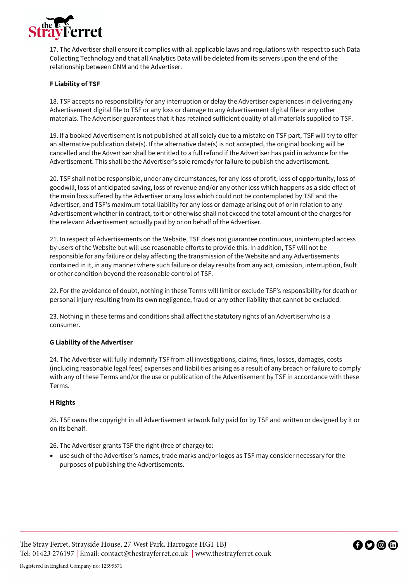

17. The Advertiser shall ensure it complies with all applicable laws and regulations with respect to such Data Collecting Technology and that all Analytics Data will be deleted from its servers upon the end of the relationship between GNM and the Advertiser.

# **F Liability of TSF**

18. TSF accepts no responsibility for any interruption or delay the Advertiser experiences in delivering any Advertisement digital file to TSF or any loss or damage to any Advertisement digital file or any other materials. The Advertiser guarantees that it has retained sufficient quality of all materials supplied to TSF.

19. If a booked Advertisement is not published at all solely due to a mistake on TSF part, TSF will try to offer an alternative publication date(s). If the alternative date(s) is not accepted, the original booking will be cancelled and the Advertiser shall be entitled to a full refund if the Advertiser has paid in advance for the Advertisement. This shall be the Advertiser's sole remedy for failure to publish the advertisement.

20. TSF shall not be responsible, under any circumstances, for any loss of profit, loss of opportunity, loss of goodwill, loss of anticipated saving, loss of revenue and/or any other loss which happens as a side effect of the main loss suffered by the Advertiser or any loss which could not be contemplated by TSF and the Advertiser, and TSF's maximum total liability for any loss or damage arising out of or in relation to any Advertisement whether in contract, tort or otherwise shall not exceed the total amount of the charges for the relevant Advertisement actually paid by or on behalf of the Advertiser.

21. In respect of Advertisements on the Website, TSF does not guarantee continuous, uninterrupted access by users of the Website but will use reasonable efforts to provide this. In addition, TSF will not be responsible for any failure or delay affecting the transmission of the Website and any Advertisements contained in it, in any manner where such failure or delay results from any act, omission, interruption, fault or other condition beyond the reasonable control of TSF.

22. For the avoidance of doubt, nothing in these Terms will limit or exclude TSF's responsibility for death or personal injury resulting from its own negligence, fraud or any other liability that cannot be excluded.

23. Nothing in these terms and conditions shall affect the statutory rights of an Advertiser who is a consumer.

#### **G Liability of the Advertiser**

24. The Advertiser will fully indemnify TSF from all investigations, claims, fines, losses, damages, costs (including reasonable legal fees) expenses and liabilities arising as a result of any breach or failure to comply with any of these Terms and/or the use or publication of the Advertisement by TSF in accordance with these Terms.

#### **H Rights**

25. TSF owns the copyright in all Advertisement artwork fully paid for by TSF and written or designed by it or on its behalf.

26. The Advertiser grants TSF the right (free of charge) to:

• use such of the Advertiser's names, trade marks and/or logos as TSF may consider necessary for the purposes of publishing the Advertisements.